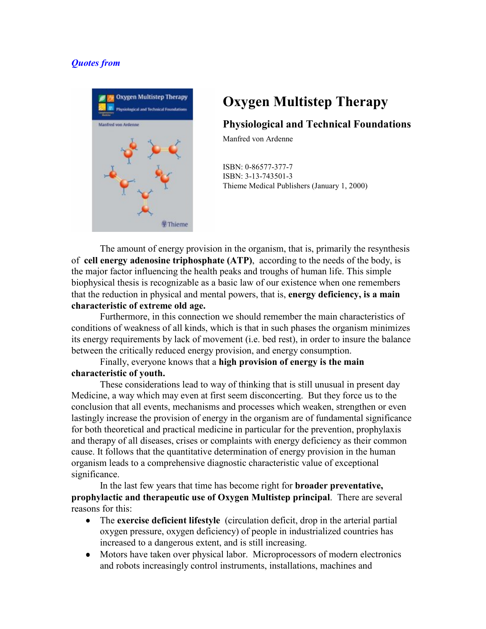## *Quotes from*



## **Oxygen Multistep Therapy**

## **Physiological and Technical Foundations**

Manfred von Ardenne

ISBN: 0-86577-377-7 ISBN: 3-13-743501-3 Thieme Medical Publishers (January 1, 2000)

The amount of energy provision in the organism, that is, primarily the resynthesis of **cell energy adenosine triphosphate (ATP)**, according to the needs of the body, is the major factor influencing the health peaks and troughs of human life. This simple biophysical thesis is recognizable as a basic law of our existence when one remembers that the reduction in physical and mental powers, that is, **energy deficiency, is a main characteristic of extreme old age.** 

Furthermore, in this connection we should remember the main characteristics of conditions of weakness of all kinds, which is that in such phases the organism minimizes its energy requirements by lack of movement (i.e. bed rest), in order to insure the balance between the critically reduced energy provision, and energy consumption.

## Finally, everyone knows that a **high provision of energy is the main characteristic of youth.**

These considerations lead to way of thinking that is still unusual in present day Medicine, a way which may even at first seem disconcerting. But they force us to the conclusion that all events, mechanisms and processes which weaken, strengthen or even lastingly increase the provision of energy in the organism are of fundamental significance for both theoretical and practical medicine in particular for the prevention, prophylaxis and therapy of all diseases, crises or complaints with energy deficiency as their common cause. It follows that the quantitative determination of energy provision in the human organism leads to a comprehensive diagnostic characteristic value of exceptional significance.

 In the last few years that time has become right for **broader preventative, prophylactic and therapeutic use of Oxygen Multistep principal**. There are several reasons for this:

- The **exercise deficient lifestyle** (circulation deficit, drop in the arterial partial oxygen pressure, oxygen deficiency) of people in industrialized countries has increased to a dangerous extent, and is still increasing.
- Motors have taken over physical labor. Microprocessors of modern electronics and robots increasingly control instruments, installations, machines and